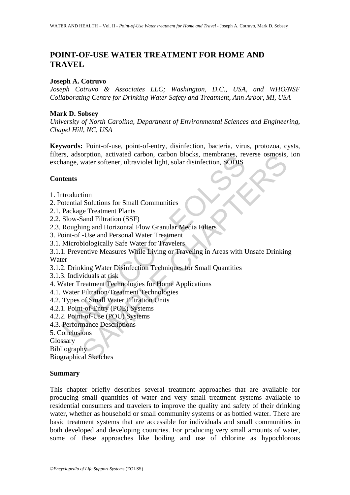# **POINT-OF-USE WATER TREATMENT FOR HOME AND TRAVEL**

### **Joseph A. Cotruvo**

*Joseph Cotruvo & Associates LLC; Washington, D.C., USA, and WHO/NSF Collaborating Centre for Drinking Water Safety and Treatment, Ann Arbor, MI, USA* 

### **Mark D. Sobsey**

*University of North Carolina, Department of Environmental Sciences and Engineering, Chapel Hill, NC, USA* 

**Keywords:** Point-of-use, point-of-entry, disinfection, bacteria, virus, protozoa, cysts, filters, adsorption, activated carbon, carbon blocks, membranes, reverse osmosis, ion exchange, water softener, ultraviolet light, solar disinfection, SODIS

## **Contents**

- 1. Introduction
- 2. Potential Solutions for Small Communities
- 2.1. Package Treatment Plants
- 2.2. Slow-Sand Filtration (SSF)
- 2.3. Roughing and Horizontal Flow Granular Media Filters
- 3. Point-of -Use and Personal Water Treatment
- 3.1. Microbiologically Safe Water for Travelers
- Is, adsolption, activated calooni, caloon blocks, inelibrates, re-<br>nange, water softener, ultraviolet light, solar disinfection, SODIS<br>tential Solutions for Small Communities<br>Package Treatment Plants<br>Package Treatment Plan orphion, activated carbon, carbon blocks, membranes, reverse osmosis,<br>water softener, ultraviolet light, solar disinfection, SODIS<br>share Fittantion (SSF)<br>ing and Horizontal Flow Granular Media Fitters<br>-Use and Personal Wat 3.1.1. Preventive Measures While Living or Traveling in Areas with Unsafe Drinking Water
- 3.1.2. Drinking Water Disinfection Techniques for Small Quantities
- 3.1.3. Individuals at risk
- 4. Water Treatment Technologies for Home Applications
- 4.1. Water Filtration/Treatment Technologies
- 4.2. Types of Small Water Filtration Units
- 4.2.1. Point-of-Entry (POE) Systems
- 4.2.2. Point-of-Use (POU) Systems
- 4.3. Performance Descriptions
- 5. Conclusions
- Glossary

Bibliography

Biographical Sketches

#### **Summary**

This chapter briefly describes several treatment approaches that are available for producing small quantities of water and very small treatment systems available to residential consumers and travelers to improve the quality and safety of their drinking water, whether as household or small community systems or as bottled water. There are basic treatment systems that are accessible for individuals and small communities in both developed and developing countries. For producing very small amounts of water, some of these approaches like boiling and use of chlorine as hypochlorous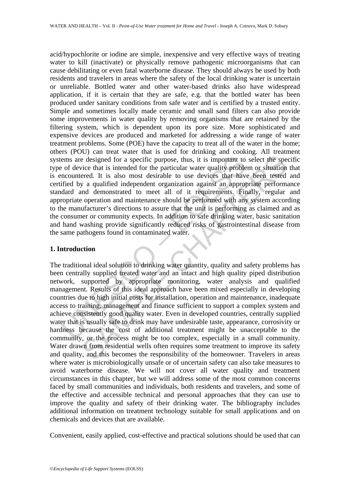ems are designed for a specific purpose, thus, it is important to of device that is intended for the particular water quality proble nocountered. It is also most desirable to use devices that have fifted by a qualified ind acid/hypochlorite or iodine are simple, inexpensive and very effective ways of treating water to kill (inactivate) or physically remove pathogenic microorganisms that can cause debilitating or even fatal waterborne disease. They should always be used by both residents and travelers in areas where the safety of the local drinking water is uncertain or unreliable. Bottled water and other water-based drinks also have widespread application, if it is certain that they are safe, e.g. that the bottled water has been produced under sanitary conditions from safe water and is certified by a trusted entity. Simple and sometimes locally made ceramic and small sand filters can also provide some improvements in water quality by removing organisms that are retained by the filtering system, which is dependent upon its pore size. More sophisticated and expensive devices are produced and marketed for addressing a wide range of water treatment problems. Some (POE) have the capacity to treat all of the water in the home; others (POU) can treat water that is used for drinking and cooking. All treatment systems are designed for a specific purpose, thus, it is important to select the specific type of device that is intended for the particular water quality problem or situation that is encountered. It is also most desirable to use devices that have been tested and certified by a qualified independent organization against an appropriate performance standard and demonstrated to meet all of it requirements. Finally, regular and appropriate operation and maintenance should be performed with any system according to the manufacturer's directions to assure that the unit is performing as claimed and as the consumer or community expects. In addition to safe drinking water, basic sanitation and hand washing provide significantly reduced risks of gastrointestinal disease from the same pathogens found in contaminated water.

### **1. Introduction**

is election of the simulation of the propose, thus, it is important to select the specice that is intended for the particular water quality problem or situation cred. It is also most desirable to use devices that have been The traditional ideal solution to drinking water quantity, quality and safety problems has been centrally supplied treated water and an intact and high quality piped distribution network, supported by appropriate monitoring, water analysis and qualified management. Results of this ideal approach have been mixed especially in developing countries due to high initial costs for installation, operation and maintenance, inadequate access to training, management and finance sufficient to support a complex system and achieve consistently good quality water. Even in developed countries, centrally supplied water that is usually safe to drink may have undesirable taste, appearance, corrosivity or hardness because the cost of additional treatment might be unacceptable to the community, or the process might be too complex, especially in a small community. Water drawn from residential wells often requires some treatment to improve its safety and quality, and this becomes the responsibility of the homeowner. Travelers in areas where water is microbiologically unsafe or of uncertain safety can also take measures to avoid waterborne disease. We will not cover all water quality and treatment circumstances in this chapter, but we will address some of the most common concerns faced by small communities and individuals, both residents and travelers, and some of the effective and accessible technical and personal approaches that they can use to improve the quality and safety of their drinking water. The bibliography includes additional information on treatment technology suitable for small applications and on chemicals and devices that are available.

Convenient, easily applied, cost-effective and practical solutions should be used that can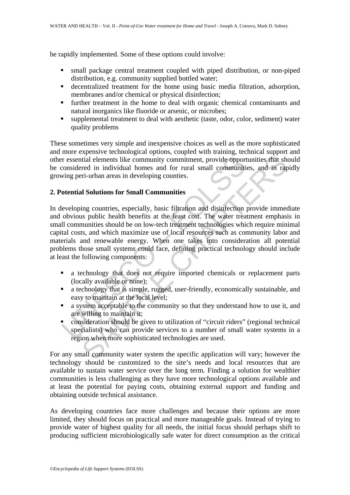be rapidly implemented. Some of these options could involve:

- small package central treatment coupled with piped distribution, or non-piped distribution, e.g. community supplied bottled water;
- decentralized treatment for the home using basic media filtration, adsorption, membranes and/or chemical or physical disinfection;
- **F** further treatment in the home to deal with organic chemical contaminants and natural inorganics like fluoride or arsenic, or microbes;
- supplemental treatment to deal with aesthetic (taste, odor, color, sediment) water quality problems

These sometimes very simple and inexpensive choices as well as the more sophisticated and more expensive technological options, coupled with training, technical support and other essential elements like community commitment, provide opportunities that should be considered in individual homes and for rural small communities, and in rapidly growing peri-urban areas in developing counties.

#### **2. Potential Solutions for Small Communities**

Interiors and the community commitment, provide opportionsidered in individual homes and for rural small communitivity in the prefilering peri-urban areas in developing counties.<br> **Otential Solutions for Small Communities** interimal elements like community commitment, provide opportunities that sheed in individual homes and for rural small communities, and in rap<br>ri-urban areas in developing counties.<br>In Solutions for Small Communities<br>ing c In developing countries, especially, basic filtration and disinfection provide immediate and obvious public health benefits at the least cost. The water treatment emphasis in small communities should be on low-tech treatment technologies which require minimal capital costs, and which maximize use of local resources such as community labor and materials and renewable energy. When one takes into consideration all potential problems those small systems could face, defining practical technology should include at least the following components:

- a technology that does not require imported chemicals or replacement parts (locally available or none);
- a technology that is simple, rugged, user-friendly, economically sustainable, and easy to maintain at the local level;
- **a** system acceptable to the community so that they understand how to use it, and are willing to maintain it;
- consideration should be given to utilization of "circuit riders" (regional technical specialists) who can provide services to a number of small water systems in a region when more sophisticated technologies are used.

For any small community water system the specific application will vary; however the technology should be customized to the site's needs and local resources that are available to sustain water service over the long term. Finding a solution for wealthier communities is less challenging as they have more technological options available and at least the potential for paying costs, obtaining external support and funding and obtaining outside technical assistance.

As developing countries face more challenges and because their options are more limited, they should focus on practical and more manageable goals. Instead of trying to provide water of highest quality for all needs, the initial focus should perhaps shift to producing sufficient microbiologically safe water for direct consumption as the critical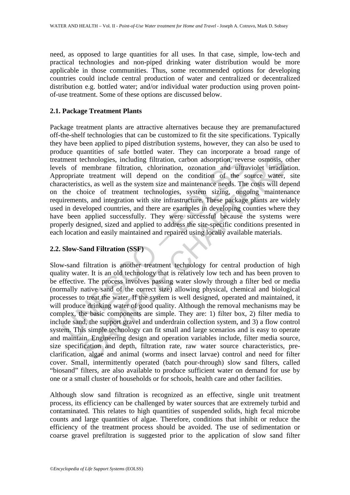need, as opposed to large quantities for all uses. In that case, simple, low-tech and practical technologies and non-piped drinking water distribution would be more applicable in those communities. Thus, some recommended options for developing countries could include central production of water and centralized or decentralized distribution e.g. bottled water; and/or individual water production using proven pointof-use treatment. Some of these options are discussed below.

### **2.1. Package Treatment Plants**

tment technologies, including filtration, carbon adsorption, revealls of membrane filtration, chlorination, ozonation and ultracorpriate treatment will depend on the condition of the sacteristics, as well as the system siz Package treatment plants are attractive alternatives because they are premanufactured off-the-shelf technologies that can be customized to fit the site specifications. Typically they have been applied to piped distribution systems, however, they can also be used to produce quantities of safe bottled water. They can incorporate a broad range of treatment technologies, including filtration, carbon adsorption, reverse osmosis, other levels of membrane filtration, chlorination, ozonation and ultraviolet irradiation. Appropriate treatment will depend on the condition of the source water, site characteristics, as well as the system size and maintenance needs. The costs will depend on the choice of treatment technologies, system sizing, ongoing maintenance requirements, and integration with site infrastructure. These package plants are widely used in developed countries, and there are examples in developing counties where they have been applied successfully. They were successful because the systems were properly designed, sized and applied to address the site-specific conditions presented in each location and easily maintained and repaired using locally available materials.

# **2.2. Slow-Sand Filtration (SSF)**

echnologies, including filtration, carbon adsorption, reverse osmosis, c<br>nembrane filtration, chlorination, carbon adsorption, reverse osmosis, c<br>membrane filtration, chlorination, caronation and ultraviolet irradia<br>ties, Slow-sand filtration is another treatment technology for central production of high quality water. It is an old technology that is relatively low tech and has been proven to be effective. The process involves passing water slowly through a filter bed or media (normally native sand of the correct size) allowing physical, chemical and biological processes to treat the water. If the system is well designed, operated and maintained, it will produce drinking water of good quality. Although the removal mechanisms may be complex, the basic components are simple. They are: 1) filter box, 2) filter media to include sand, the support gravel and underdrain collection system, and 3) a flow control system. This simple technology can fit small and large scenarios and is easy to operate and maintain. Engineering design and operation variables include, filter media source, size specification and depth, filtration rate, raw water source characteristics, preclarification, algae and animal (worms and insect larvae) control and need for filter cover. Small, intermittently operated (batch pour-through) slow sand filters, called "biosand" filters, are also available to produce sufficient water on demand for use by one or a small cluster of households or for schools, health care and other facilities.

Although slow sand filtration is recognized as an effective, single unit treatment process, its efficiency can be challenged by water sources that are extremely turbid and contaminated. This relates to high quantities of suspended solids, high fecal microbe counts and large quantities of algae. Therefore, conditions that inhibit or reduce the efficiency of the treatment process should be avoided. The use of sedimentation or coarse gravel prefiltration is suggested prior to the application of slow sand filter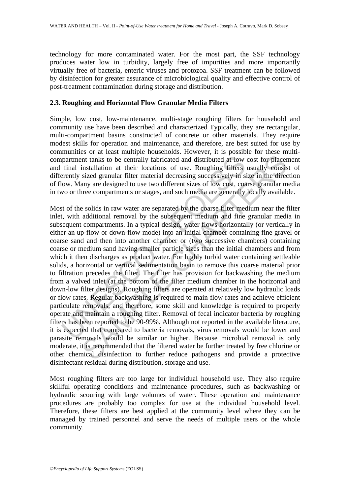technology for more contaminated water. For the most part, the SSF technology produces water low in turbidity, largely free of impurities and more importantly virtually free of bacteria, enteric viruses and protozoa. SSF treatment can be followed by disinfection for greater assurance of microbiological quality and effective control of post-treatment contamination during storage and distribution.

### **2.3. Roughing and Horizontal Flow Granular Media Filters**

Simple, low cost, low-maintenance, multi-stage roughing filters for household and community use have been described and characterized Typically, they are rectangular, multi-compartment basins constructed of concrete or other materials. They require modest skills for operation and maintenance, and therefore, are best suited for use by communities or at least multiple households. However, it is possible for these multicompartment tanks to be centrally fabricated and distributed at low cost for placement and final installation at their locations of use. Roughing filters usually consist of differently sized granular filter material decreasing successively in size in the direction of flow. Many are designed to use two different sizes of low cost, coarse granular media in two or three compartments or stages, and such media are generally locally available.

partment tanks to be centrally fabricated and distributed at low<br>final installation at their locations of use. Roughing filters<br>rently sized granular filter material decreasing successively in si<br>ow. Many are designed to u Internal tanks to be centrally fabricated and distributed at low cost for placeminstallation at their locations of use. Roughing filters usually consisted granular filter material decreasing successively in size in the dir Most of the solids in raw water are separated by the coarse filter medium near the filter inlet, with additional removal by the subsequent medium and fine granular media in subsequent compartments. In a typical design, water flows horizontally (or vertically in either an up-flow or down-flow mode) into an initial chamber containing fine gravel or coarse sand and then into another chamber or (two successive chambers) containing coarse or medium sand having smaller particle sizes than the initial chambers and from which it then discharges as product water. For highly turbid water containing settleable solids, a horizontal or vertical sedimentation basin to remove this coarse material prior to filtration precedes the filter. The filter has provision for backwashing the medium from a valved inlet (at the bottom of the filter medium chamber in the horizontal and down-low filter designs). Roughing filters are operated at relatively low hydraulic loads or flow rates. Regular backwashing is required to main flow rates and achieve efficient particulate removals, and therefore, some skill and knowledge is required to properly operate and maintain a roughing filter. Removal of fecal indicator bacteria by roughing filters has been reported to be 90-99%. Although not reported in the available literature, it is expected that compared to bacteria removals, virus removals would be lower and parasite removals would be similar or higher. Because microbial removal is only moderate, it is recommended that the filtered water be further treated by free chlorine or other chemical disinfection to further reduce pathogens and provide a protective disinfectant residual during distribution, storage and use.

Most roughing filters are too large for individual household use. They also require skillful operating conditions and maintenance procedures, such as backwashing or hydraulic scouring with large volumes of water. These operation and maintenance procedures are probably too complex for use at the individual household level. Therefore, these filters are best applied at the community level where they can be managed by trained personnel and serve the needs of multiple users or the whole community.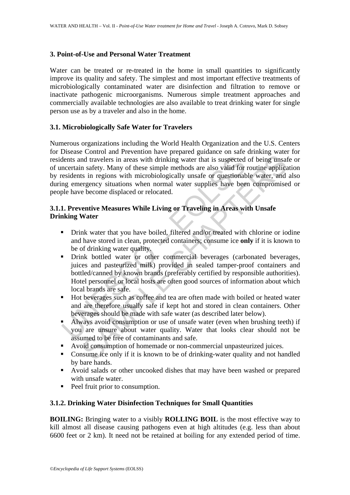## **3. Point-of-Use and Personal Water Treatment**

Water can be treated or re-treated in the home in small quantities to significantly improve its quality and safety. The simplest and most important effective treatments of microbiologically contaminated water are disinfection and filtration to remove or inactivate pathogenic microorganisms. Numerous simple treatment approaches and commercially available technologies are also available to treat drinking water for single person use as by a traveler and also in the home.

## **3.1. Microbiologically Safe Water for Travelers**

dents and travelers in areas with drinking water that is suspected<br>necertain safety. Many of these simple methods are also valid for<br>residents in regions with microbiologically unsafe or questional<br>ng emergency situations In a travelers in areas with drinking water that is suspected of being unsafely. Many of these simple methods are also valid for routine application in safety. Many of these simple methods are also valid for routine applic Numerous organizations including the World Health Organization and the U.S. Centers for Disease Control and Prevention have prepared guidance on safe drinking water for residents and travelers in areas with drinking water that is suspected of being unsafe or of uncertain safety. Many of these simple methods are also valid for routine application by residents in regions with microbiologically unsafe or questionable water, and also during emergency situations when normal water supplies have been compromised or people have become displaced or relocated.

# **3.1.1. Preventive Measures While Living or Traveling in Areas with Unsafe Drinking Water**

- Drink water that you have boiled, filtered and/or treated with chlorine or iodine and have stored in clean, protected containers; consume ice **only** if it is known to be of drinking water quality.
- **•** Drink bottled water or other commercial beverages (carbonated beverages, juices and pasteurized milk) provided in sealed tamper-proof containers and bottled/canned by known brands (preferably certified by responsible authorities). Hotel personnel or local hosts are often good sources of information about which local brands are safe.
- Hot beverages such as coffee and tea are often made with boiled or heated water and are therefore usually safe if kept hot and stored in clean containers. Other beverages should be made with safe water (as described later below).
- Always avoid consumption or use of unsafe water (even when brushing teeth) if you are unsure about water quality. Water that looks clear should not be assumed to be free of contaminants and safe.
- Avoid consumption of homemade or non-commercial unpasteurized juices.
- Consume ice only if it is known to be of drinking-water quality and not handled by bare hands.
- Avoid salads or other uncooked dishes that may have been washed or prepared with unsafe water.
- Peel fruit prior to consumption.

#### **3.1.2. Drinking Water Disinfection Techniques for Small Quantities**

**BOILING:** Bringing water to a visibly **ROLLING BOIL** is the most effective way to kill almost all disease causing pathogens even at high altitudes (e.g. less than about 6600 feet or 2 km). It need not be retained at boiling for any extended period of time.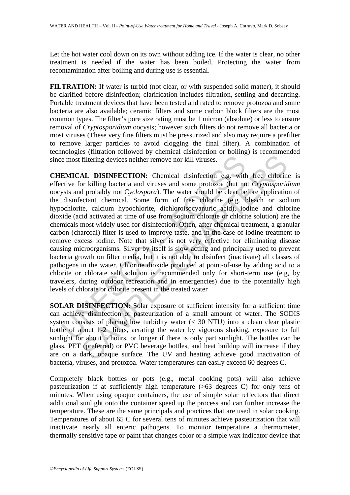Let the hot water cool down on its own without adding ice. If the water is clear, no other treatment is needed if the water has been boiled. Protecting the water from recontamination after boiling and during use is essential.

FILTRATION: If water is turbid (not clear, or with suspended solid matter), it should be clarified before disinfection; clarification includes filtration, settling and decanting. Portable treatment devices that have been tested and rated to remove protozoa and some bacteria are also available; ceramic filters and some carbon block filters are the most common types. The filter's pore size rating must be 1 micron (absolute) or less to ensure removal of *Cryptosporidium* oocysts; however such filters do not remove all bacteria or most viruses (These very fine filters must be pressurized and also may require a prefilter to remove larger particles to avoid clogging the final filter). A combination of technologies (filtration followed by chemical disinfection or boiling) is recommended since most filtering devices neither remove nor kill viruses.

e most filtering devices neither remove nor kill viruses.<br> **EMICAL DISINFECTION:** Chemical disinfection e.g. with<br>
trive for killing bacteria and viruses and some protozoa (but not<br>
disinfectant chemical. Some form of fre filtering devices neither remove nor kill viruses.<br> **AL DISINFECTION:** Chemical disinfection e.g. with free chlorin<br>
or killing bacteria and viruses and some protozoa (but not *Cryptosporical*<br>
probably not Cyclospora). T **CHEMICAL DISINFECTION:** Chemical disinfection e.g. with free chlorine is effective for killing bacteria and viruses and some protozoa (but not *Cryptosporidium* oocysts and probably not C*yclospora*). The water should be clear before application of the disinfectant chemical. Some form of free chlorine (e.g. bleach or sodium hypochlorite, calcium hypochlorite, dichloroisocyanuric acid), iodine and chlorine dioxide (acid activated at time of use from sodium chlorate or chlorite solution) are the chemicals most widely used for disinfection. Often, after chemical treatment, a granular carbon (charcoal) filter is used to improve taste, and in the case of iodine treatment to remove excess iodine. Note that silver is not very effective for eliminating disease causing microorganisms. Silver by itself is slow acting and principally used to prevent bacteria growth on filter media, but it is not able to disinfect (inactivate) all classes of pathogens in the water. Chlorine dioxide produced at point-of-use by adding acid to a chlorite or chlorate salt solution is recommended only for short-term use (e.g, by travelers, during outdoor recreation and in emergencies) due to the potentially high levels of chlorate or chlorite present in the treated water

**SOLAR DISINFECTION:** Solar exposure of sufficient intensity for a sufficient time can achieve disinfection or pasteurization of a small amount of water. The SODIS system consists of placing low turbidity water (< 30 NTU) into a clean clear plastic bottle of about 1-2 liters, aerating the water by vigorous shaking, exposure to full sunlight for about 5 hours, or longer if there is only part sunlight. The bottles can be glass, PET (preferred) or PVC beverage bottles, and heat buildup will increase if they are on a dark, opaque surface. The UV and heating achieve good inactivation of bacteria, viruses, and protozoa. Water temperatures can easily exceed 60 degrees C.

Completely black bottles or pots (e.g., metal cooking pots) will also achieve pasteurization if at sufficiently high temperature (>63 degrees C) for only tens of minutes. When using opaque containers, the use of simple solar reflectors that direct additional sunlight onto the container speed up the process and can further increase the temperature. These are the same principals and practices that are used in solar cooking. Temperatures of about 65 C for several tens of minutes achieve pasteurization that will inactivate nearly all enteric pathogens. To monitor temperature a thermometer, thermally sensitive tape or paint that changes color or a simple wax indicator device that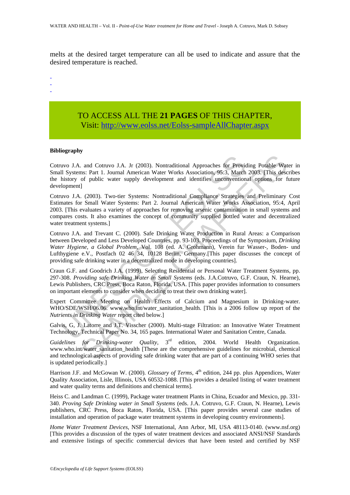melts at the desired target temperature can all be used to indicate and assure that the desired temperature is reached.

-

- -

# TO ACCESS ALL THE **21 PAGES** OF THIS CHAPTER, Vis[it: http://www.eolss.net/Eolss-sampleAllChapter.aspx](https://www.eolss.net/ebooklib/sc_cart.aspx?File=E2-20A-03-08)

#### **Bibliography**

Cotruvo J.A. and Cotruvo J.A. Jr (2003). Nontraditional Approaches for Providing Potable Water in Small Systems: Part 1. Journal American Water Works Association, 95:3, March 2003. [This describes the history of public water supply development and identifies unconventional options for future development]

Cotruvo J.A. (2003). Two-tier Systems: Nontraditional Compliance Strategies and Preliminary Cost Estimates for Small Water Systems: Part 2. Journal American Water Works Association, 95:4, April 2003. [This evaluates a variety of approaches for removing arsenic contamination in small systems and compares costs. It also examines the concept of community supplied bottled water and decentralized water treatment systems.]

avo J.A. and Cotruvo J.A. Jr (2003). Nontraditional Approaches for Provid II Systems: Part 1. Journal American Water Works Association, 95:3, March history of public water supply development and identifies unconvention lop and Cotruvo J.A. Jr (2003). Nontraditional Approaches for Providing Potable Wats: Part 1. Journal American Water Works Association, 95:3, Mareh 2003. [This desc<br/>of public water supply development and identifies unconv Cotruvo J.A. and Trevant C. (2000). Safe Drinking Water Production in Rural Areas: a Comparison between Developed and Less Developed Countries, pp. 93-103. Proceedings of the Symposium, *Drinking Water Hygiene, a Global Problem*, Vol. 108 (ed. A. Grohmann), Verein fur Wasser-, Boden- und Lufthygiene e.V., Postfach 02 46 34, 10128 Berlin, Germany.[This paper discusses the concept of providing safe drinking water in a decentralized mode in developing countries].

Craun G.F. and Goodrich J.A. (1999), Selecting Residential or Personal Water Treatment Systems, pp. 297-308. *Providing safe Drinking Water in Small Systems* (eds. J.A.Cotruvo, G.F. Craun, N. Hearne), Lewis Publishers, CRC Press, Boca Raton, Florida, USA. [This paper provides information to consumers on important elements to consider when deciding to treat their own drinking water].

Expert Committee Meeting on Health Effects of Calcium and Magnesium in Drinking-water. WHO/SDE/WSH/06.06. www.who.int/water\_sanitation\_health. [This is a 2006 follow up report of the *Nutrients in Drinking Water* report cited below.]

Galvis, G, J. Latorre and J.T. Visscher (2000). Multi-stage Filtration: an Innovative Water Treatment Technology, Technical Paper No. 34, 165 pages. International Water and Sanitation Centre, Canada.

*Guidelines for Drinking-water Quality,* 3rd edition, 2004. World Health Organization. www.who.int/water\_sanitation\_health [These are the comprehensive guidelines for microbial, chemical and technological aspects of providing safe drinking water that are part of a continuing WHO series that is updated periodically.]

Harrison J.F. and McGowan W. (2000). *Glossary of Terms*, 4<sup>th</sup> edition, 244 pp. plus Appendices, Water Quality Association, Lisle, Illinois, USA 60532-1088. [This provides a detailed listing of water treatment and water quality terms and definitions and chemical terms].

Heiss C. and Landman C. (1999), Package water treatment Plants in China, Ecuador and Mexico, pp. 331- 340. *Proving Safe Drinking water in Small Systems* (eds. J.A. Cotruvo, G.F. Craun, N. Hearne), Lewis publishers, CRC Press, Boca Raton, Florida, USA. [This paper provides several case studies of installation and operation of package water treatment systems in developing country environments].

*Home Water Treatment Devices*, NSF International, Ann Arbor, MI, USA 48113-0140. (www.nsf.org) [This provides a discussion of the types of water treatment devices and associated ANSI/NSF Standards and extensive listings of specific commercial devices that have been tested and certified by NSF